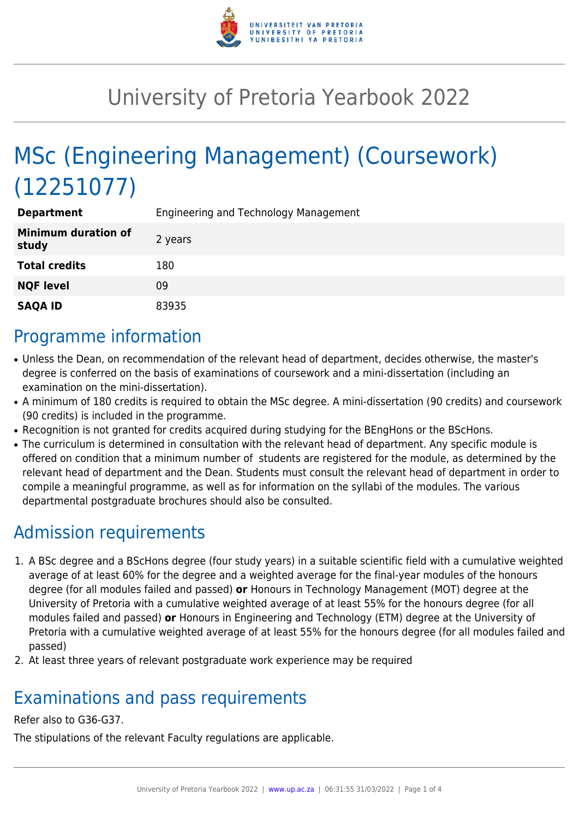

# University of Pretoria Yearbook 2022

# MSc (Engineering Management) (Coursework) (12251077)

| <b>Department</b>                   | Engineering and Technology Management |
|-------------------------------------|---------------------------------------|
| <b>Minimum duration of</b><br>study | 2 years                               |
| <b>Total credits</b>                | 180                                   |
| <b>NQF level</b>                    | 09                                    |
| <b>SAQA ID</b>                      | 83935                                 |

#### Programme information

- Unless the Dean, on recommendation of the relevant head of department, decides otherwise, the master's degree is conferred on the basis of examinations of coursework and a mini-dissertation (including an examination on the mini-dissertation).
- A minimum of 180 credits is required to obtain the MSc degree. A mini-dissertation (90 credits) and coursework (90 credits) is included in the programme.
- Recognition is not granted for credits acquired during studying for the BEngHons or the BScHons.
- The curriculum is determined in consultation with the relevant head of department. Any specific module is offered on condition that a minimum number of students are registered for the module, as determined by the relevant head of department and the Dean. Students must consult the relevant head of department in order to compile a meaningful programme, as well as for information on the syllabi of the modules. The various departmental postgraduate brochures should also be consulted.

## Admission requirements

- 1. A BSc degree and a BScHons degree (four study years) in a suitable scientific field with a cumulative weighted average of at least 60% for the degree and a weighted average for the final-year modules of the honours degree (for all modules failed and passed) **or** Honours in Technology Management (MOT) degree at the University of Pretoria with a cumulative weighted average of at least 55% for the honours degree (for all modules failed and passed) **or** Honours in Engineering and Technology (ETM) degree at the University of Pretoria with a cumulative weighted average of at least 55% for the honours degree (for all modules failed and passed)
- 2. At least three years of relevant postgraduate work experience may be required

## Examinations and pass requirements

#### Refer also to G36-G37.

The stipulations of the relevant Faculty regulations are applicable.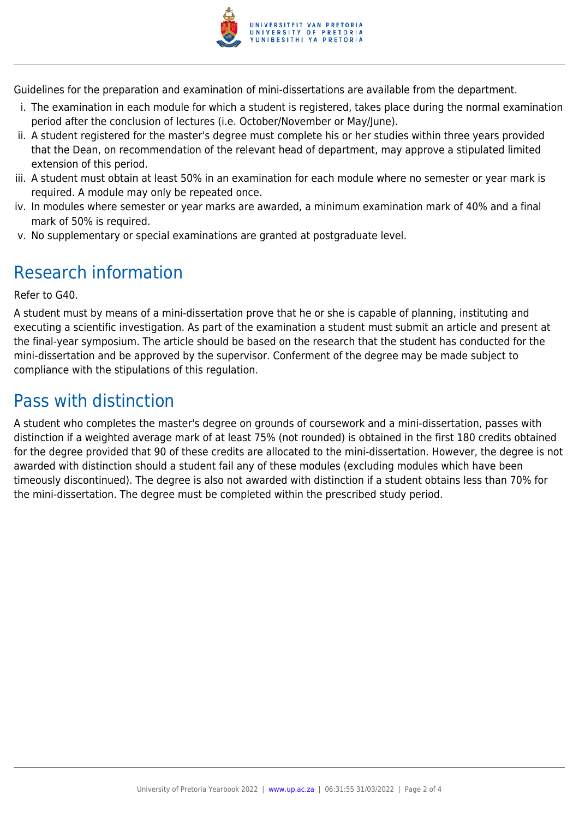

Guidelines for the preparation and examination of mini-dissertations are available from the department.

- i. The examination in each module for which a student is registered, takes place during the normal examination period after the conclusion of lectures (i.e. October/November or May/June).
- ii. A student registered for the master's degree must complete his or her studies within three years provided that the Dean, on recommendation of the relevant head of department, may approve a stipulated limited extension of this period.
- iii. A student must obtain at least 50% in an examination for each module where no semester or year mark is required. A module may only be repeated once.
- iv. In modules where semester or year marks are awarded, a minimum examination mark of 40% and a final mark of 50% is required.
- v. No supplementary or special examinations are granted at postgraduate level.

# Research information

Refer to G40.

A student must by means of a mini-dissertation prove that he or she is capable of planning, instituting and executing a scientific investigation. As part of the examination a student must submit an article and present at the final-year symposium. The article should be based on the research that the student has conducted for the mini-dissertation and be approved by the supervisor. Conferment of the degree may be made subject to compliance with the stipulations of this regulation.

# Pass with distinction

A student who completes the master's degree on grounds of coursework and a mini-dissertation, passes with distinction if a weighted average mark of at least 75% (not rounded) is obtained in the first 180 credits obtained for the degree provided that 90 of these credits are allocated to the mini-dissertation. However, the degree is not awarded with distinction should a student fail any of these modules (excluding modules which have been timeously discontinued). The degree is also not awarded with distinction if a student obtains less than 70% for the mini-dissertation. The degree must be completed within the prescribed study period.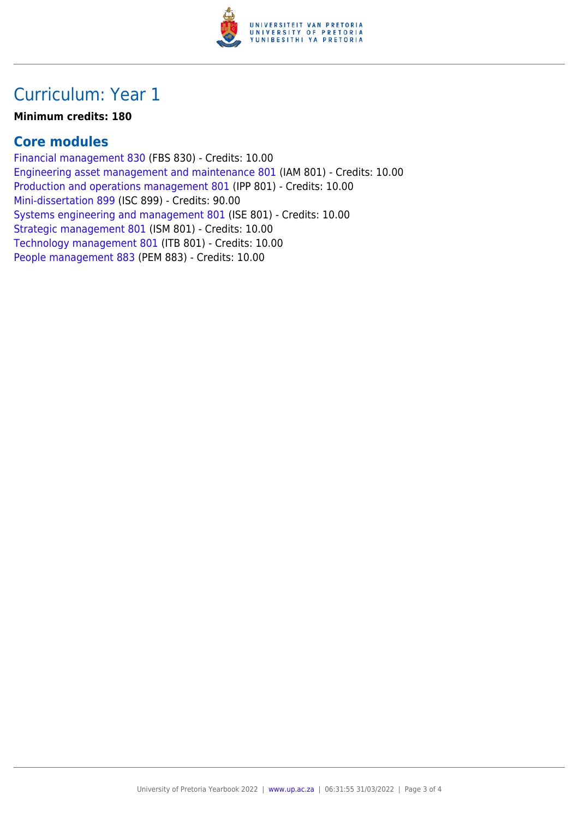

### Curriculum: Year 1

#### **Minimum credits: 180**

#### **Core modules**

[Financial management 830](https://www.up.ac.za/yearbooks/2022/modules/view/FBS 830) (FBS 830) - Credits: 10.00 [Engineering asset management and maintenance 801](https://www.up.ac.za/yearbooks/2022/modules/view/IAM 801) (IAM 801) - Credits: 10.00 [Production and operations management 801](https://www.up.ac.za/yearbooks/2022/modules/view/IPP 801) (IPP 801) - Credits: 10.00 [Mini-dissertation 899](https://www.up.ac.za/yearbooks/2022/modules/view/ISC 899) (ISC 899) - Credits: 90.00 [Systems engineering and management 801](https://www.up.ac.za/yearbooks/2022/modules/view/ISE 801) (ISE 801) - Credits: 10.00 [Strategic management 801](https://www.up.ac.za/yearbooks/2022/modules/view/ISM 801) (ISM 801) - Credits: 10.00 [Technology management 801](https://www.up.ac.za/yearbooks/2022/modules/view/ITB 801) (ITB 801) - Credits: 10.00 [People management 883](https://www.up.ac.za/yearbooks/2022/modules/view/PEM 883) (PEM 883) - Credits: 10.00